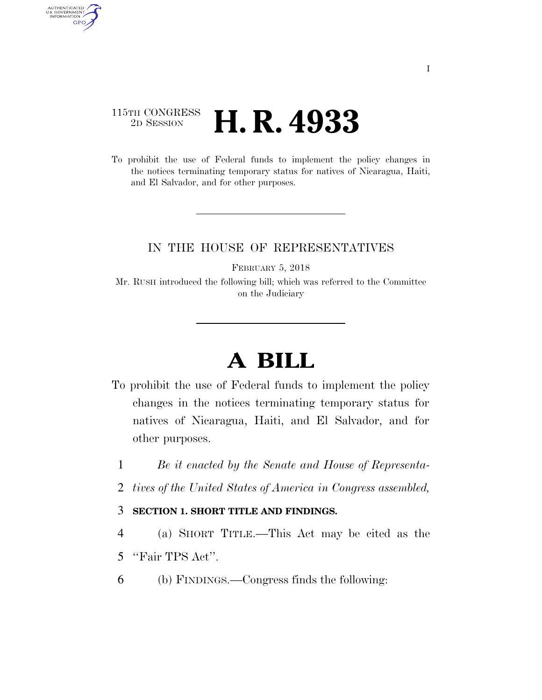## 115TH CONGRESS <sup>2D SESSION</sup> **H. R. 4933**

AUTHENTICATED<br>U.S. GOVERNMENT<br>INFORMATION GPO

> To prohibit the use of Federal funds to implement the policy changes in the notices terminating temporary status for natives of Nicaragua, Haiti, and El Salvador, and for other purposes.

### IN THE HOUSE OF REPRESENTATIVES

FEBRUARY 5, 2018

Mr. RUSH introduced the following bill; which was referred to the Committee on the Judiciary

# **A BILL**

- To prohibit the use of Federal funds to implement the policy changes in the notices terminating temporary status for natives of Nicaragua, Haiti, and El Salvador, and for other purposes.
	- 1 *Be it enacted by the Senate and House of Representa-*
	- 2 *tives of the United States of America in Congress assembled,*

### 3 **SECTION 1. SHORT TITLE AND FINDINGS.**

- 4 (a) SHORT TITLE.—This Act may be cited as the
- 5 ''Fair TPS Act''.
- 6 (b) FINDINGS.—Congress finds the following: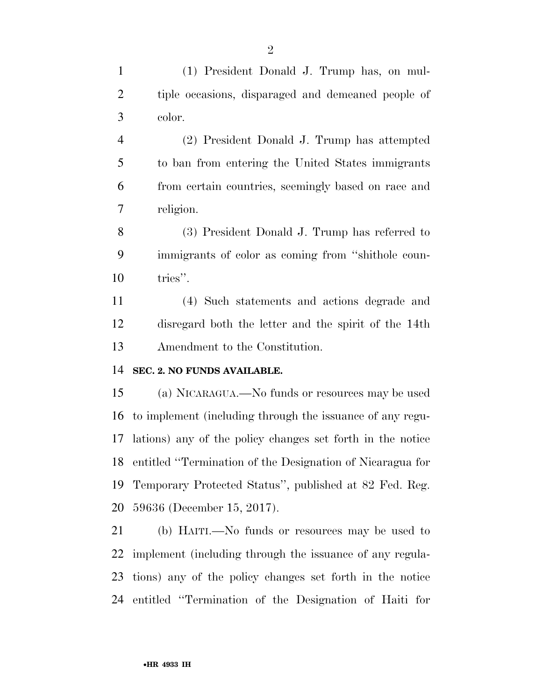(1) President Donald J. Trump has, on mul- tiple occasions, disparaged and demeaned people of color.

 (2) President Donald J. Trump has attempted to ban from entering the United States immigrants from certain countries, seemingly based on race and religion.

 (3) President Donald J. Trump has referred to immigrants of color as coming from ''shithole coun-tries''.

 (4) Such statements and actions degrade and disregard both the letter and the spirit of the 14th Amendment to the Constitution.

#### **SEC. 2. NO FUNDS AVAILABLE.**

 (a) NICARAGUA.—No funds or resources may be used to implement (including through the issuance of any regu- lations) any of the policy changes set forth in the notice entitled ''Termination of the Designation of Nicaragua for Temporary Protected Status'', published at 82 Fed. Reg. 59636 (December 15, 2017).

 (b) HAITI.—No funds or resources may be used to implement (including through the issuance of any regula- tions) any of the policy changes set forth in the notice entitled ''Termination of the Designation of Haiti for